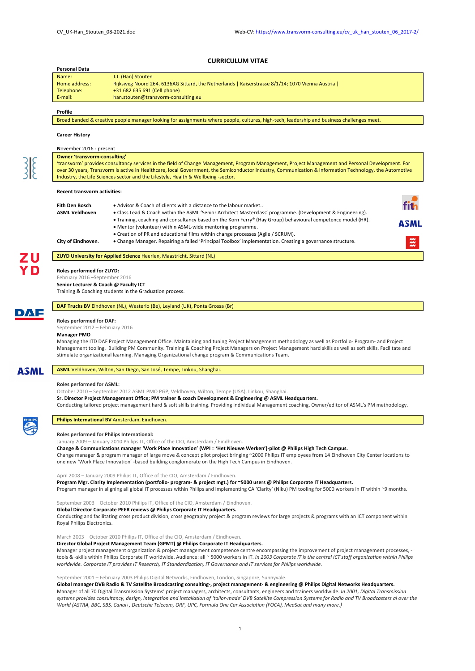## **CURRICULUM VITAE**

| Personal Data                                                  |                                                                                                                                                                                                                                                                                                                                                                                                                  |                    |
|----------------------------------------------------------------|------------------------------------------------------------------------------------------------------------------------------------------------------------------------------------------------------------------------------------------------------------------------------------------------------------------------------------------------------------------------------------------------------------------|--------------------|
| Name:                                                          | J.J. (Han) Stouten                                                                                                                                                                                                                                                                                                                                                                                               |                    |
| Home address:                                                  | Rijksweg Noord 264, 6136AG Sittard, the Netherlands   Kaiserstrasse 8/1/14; 1070 Vienna Austria                                                                                                                                                                                                                                                                                                                  |                    |
| Telephone:                                                     | +31 682 635 691 (Cell phone)                                                                                                                                                                                                                                                                                                                                                                                     |                    |
| E-mail:                                                        | han.stouten@transvorm-consulting.eu                                                                                                                                                                                                                                                                                                                                                                              |                    |
|                                                                |                                                                                                                                                                                                                                                                                                                                                                                                                  |                    |
| Profile                                                        |                                                                                                                                                                                                                                                                                                                                                                                                                  |                    |
|                                                                | Broad banded & creative people manager looking for assignments where people, cultures, high-tech, leadership and business challenges meet.                                                                                                                                                                                                                                                                       |                    |
| <b>Career History</b>                                          |                                                                                                                                                                                                                                                                                                                                                                                                                  |                    |
|                                                                |                                                                                                                                                                                                                                                                                                                                                                                                                  |                    |
| November 2016 - present<br><b>Owner 'transvorm-consulting'</b> |                                                                                                                                                                                                                                                                                                                                                                                                                  |                    |
|                                                                | 'transvorm' provides consultancy services in the field of Change Management, Program Management, Project Management and Personal Development. For                                                                                                                                                                                                                                                                |                    |
|                                                                | over 30 years, Transvorm is active in Healthcare, local Government, the Semiconductor industry, Communication & Information Technology, the Automotive                                                                                                                                                                                                                                                           |                    |
|                                                                | Industry, the Life Sciences sector and the Lifestyle, Health & Wellbeing -sector.                                                                                                                                                                                                                                                                                                                                |                    |
| <b>Recent transvorm activities:</b>                            |                                                                                                                                                                                                                                                                                                                                                                                                                  |                    |
|                                                                |                                                                                                                                                                                                                                                                                                                                                                                                                  |                    |
| Fith Den Bosch.                                                | • Advisor & Coach of clients with a distance to the labour market                                                                                                                                                                                                                                                                                                                                                |                    |
| ASML Veldhoven.                                                | . Class Lead & Coach within the ASML 'Senior Architect Masterclass' programme. (Development & Engineering)                                                                                                                                                                                                                                                                                                       |                    |
|                                                                | • Training, coaching and consultancy based on the Korn Ferry® (Hay Group) behavioural competence model (HR).                                                                                                                                                                                                                                                                                                     | ASML               |
|                                                                | • Mentor (volunteer) within ASML-wide mentoring programme.<br>• Creation of PR and educational films within change processes (Agile / SCRUM).                                                                                                                                                                                                                                                                    |                    |
| City of Eindhoven.                                             | . Change Manager. Repairing a failed 'Principal Toolbox' implementation. Creating a governance structure.                                                                                                                                                                                                                                                                                                        | $\ddot{\tilde{z}}$ |
|                                                                |                                                                                                                                                                                                                                                                                                                                                                                                                  |                    |
|                                                                | <b>ZUYD University for Applied Science Heerlen, Maastricht, Sittard (NL)</b>                                                                                                                                                                                                                                                                                                                                     |                    |
| Roles performed for ZUYD:                                      |                                                                                                                                                                                                                                                                                                                                                                                                                  |                    |
| February 2016 - September 2016                                 |                                                                                                                                                                                                                                                                                                                                                                                                                  |                    |
| Senior Lecturer & Coach @ Faculty ICT                          |                                                                                                                                                                                                                                                                                                                                                                                                                  |                    |
|                                                                | Training & Coaching students in the Graduation process.                                                                                                                                                                                                                                                                                                                                                          |                    |
|                                                                | DAF Trucks BV Eindhoven (NL), Westerlo (Be), Leyland (UK), Ponta Grossa (Br)                                                                                                                                                                                                                                                                                                                                     |                    |
|                                                                | Managing the ITD DAF Project Management Office. Maintaining and tuning Project Management methodology as well as Portfolio- Program- and Project<br>Management tooling. Building PM Community. Training & Coaching Project Managers on Project Management hard skills as well as soft skills. Facilitate and<br>stimulate organizational learning. Managing Organizational change program & Communications Team. |                    |
|                                                                |                                                                                                                                                                                                                                                                                                                                                                                                                  |                    |
|                                                                | ASML Veldhoven, Wilton, San Diego, San José, Tempe, Linkou, Shanghai.                                                                                                                                                                                                                                                                                                                                            |                    |
|                                                                |                                                                                                                                                                                                                                                                                                                                                                                                                  |                    |
| <b>Roles performed for ASML:</b>                               | October 2010 - September 2012 ASML PMO PGP, Veldhoven, Wilton, Tempe (USA), Linkou, Shanghai.                                                                                                                                                                                                                                                                                                                    |                    |
|                                                                | Sr. Director Project Management Office; PM trainer & coach Development & Engineering @ ASML Headquarters.                                                                                                                                                                                                                                                                                                        |                    |
|                                                                | Conducting tailored project management hard & soft skills training. Providing individual Management coaching. Owner/editor of ASML's PM methodology.                                                                                                                                                                                                                                                             |                    |
|                                                                | <b>Philips International BV Amsterdam, Eindhoven.</b>                                                                                                                                                                                                                                                                                                                                                            |                    |
|                                                                |                                                                                                                                                                                                                                                                                                                                                                                                                  |                    |
|                                                                | Roles performed for Philips International:                                                                                                                                                                                                                                                                                                                                                                       |                    |
|                                                                | January 2009 - January 2010 Philips IT, Office of the CIO, Amsterdam / Eindhoven.                                                                                                                                                                                                                                                                                                                                |                    |
|                                                                | Change & Communications manager 'Work Place Innovation' (WPI = 'Het Nieuwe Werken')-pilot @ Philips High Tech Campus.                                                                                                                                                                                                                                                                                            |                    |
|                                                                | Change manager & program manager of large move & concept pilot project bringing ~2000 Philips IT employees from 14 Eindhoven City Center locations to<br>one new 'Work Place Innovation' -based building conglomerate on the High Tech Campus in Eindhoven.                                                                                                                                                      |                    |
|                                                                |                                                                                                                                                                                                                                                                                                                                                                                                                  |                    |
|                                                                | April 2008 - January 2009 Philips IT, Office of the CIO, Amsterdam / Eindhoven.                                                                                                                                                                                                                                                                                                                                  |                    |
|                                                                | Program Mgr. Clarity Implementation (portfolio- program- & project mgt.) for ~5000 users @ Philips Corporate IT Headquarters.                                                                                                                                                                                                                                                                                    |                    |
|                                                                | Program manager in aligning all global IT processes within Philips and implementing CA 'Clarity' (Niku) PM tooling for 5000 workers in IT within ~9 months.                                                                                                                                                                                                                                                      |                    |
|                                                                | September 2003 - October 2010 Philips IT, Office of the CIO, Amsterdam / Eindhoven.                                                                                                                                                                                                                                                                                                                              |                    |
|                                                                | Global Director Corporate PEER reviews @ Philips Corporate IT Headquarters.                                                                                                                                                                                                                                                                                                                                      |                    |
|                                                                | Conducting and facilitating cross product division, cross geography project & program reviews for large projects & programs with an ICT component within                                                                                                                                                                                                                                                         |                    |
| Royal Philips Electronics.                                     |                                                                                                                                                                                                                                                                                                                                                                                                                  |                    |
|                                                                |                                                                                                                                                                                                                                                                                                                                                                                                                  |                    |
|                                                                | March 2003 - October 2010 Philips IT, Office of the CIO, Amsterdam / Eindhoven.                                                                                                                                                                                                                                                                                                                                  |                    |
|                                                                | Director Global Project Management Team (GPMT) @ Philips Corporate IT Headquarters.                                                                                                                                                                                                                                                                                                                              |                    |
|                                                                | Manager project management organization & project management competence centre encompassing the improvement of project management processes, -<br>tools & -skills within Philips Corporate IT worldwide. Audience: all ~ 5000 workers in IT. In 2003 Corporate IT is the central ICT staff organization within Philips                                                                                           |                    |
|                                                                | worldwide. Corporate IT provides IT Research, IT Standardization, IT Governance and IT services for Philips worldwide.                                                                                                                                                                                                                                                                                           |                    |
|                                                                |                                                                                                                                                                                                                                                                                                                                                                                                                  |                    |
|                                                                | September 2001 - February 2003 Philips Digital Networks, Eindhoven, London, Singapore, Sunnyvale.                                                                                                                                                                                                                                                                                                                |                    |
|                                                                | Global manager DVB Radio & TV Satellite Broadcasting consulting-, project management- & engineering @ Philips Digital Networks Headquarters.<br>Manager of all 70 Digital Transmission Systems' project managers, architects, consultants, engineers and trainers worldwide. In 2001, Digital Transmission                                                                                                       |                    |

*World (ASTRA, BBC, SBS, Canal+, Deutsche Telecom, ORF, UPC, Formula One Car Association (FOCA), MeaSat and many more.)*